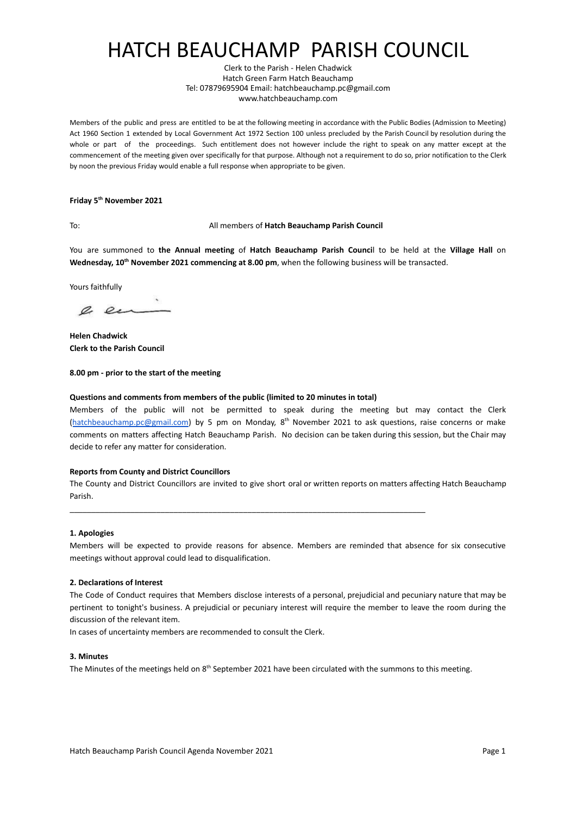# HATCH BEAUCHAMP PARISH COUNCIL

Clerk to the Parish - Helen Chadwick Hatch Green Farm Hatch Beauchamp Tel: 07879695904 Email: hatchbeauchamp.pc@gmail.com www.hatchbeauchamp.com

Members of the public and press are entitled to be at the following meeting in accordance with the Public Bodies (Admission to Meeting) Act 1960 Section 1 extended by Local Government Act 1972 Section 100 unless precluded by the Parish Council by resolution during the whole or part of the proceedings. Such entitlement does not however include the right to speak on any matter except at the commencement of the meeting given over specifically for that purpose. Although not a requirement to do so, prior notification to the Clerk by noon the previous Friday would enable a full response when appropriate to be given.

### **Friday 5th November 2021**

### To: All members of **Hatch Beauchamp Parish Council**

You are summoned to **the Annual meeting** of **Hatch Beauchamp Parish Counci**l to be held at [the](http://zoom.us/) **Village Hall** on **Wednesday, 10th November 2021 commencing at 8.00 pm**, when the following business will be transacted.

Yours faithfully

a en

**Helen Chadwick Clerk to the Parish Council**

**8.00 pm - prior to the start of the meeting**

#### **Questions and comments from members of the public (limited to 20 minutes in total)**

Members of the public will not be permitted to speak during the meeting but may contact the Clerk ([hatchbeauchamp.pc@gmail.com\)](mailto:hatchbeauchamp.pc@gmail.com) by 5 pm on Monday, 8<sup>th</sup> November 2021 to ask questions, raise concerns or make comments on matters affecting Hatch Beauchamp Parish. No decision can be taken during this session, but the Chair may decide to refer any matter for consideration.

#### **Reports from County and District Councillors**

The County and District Councillors are invited to give short oral or written reports on matters affecting Hatch Beauchamp Parish.

\_\_\_\_\_\_\_\_\_\_\_\_\_\_\_\_\_\_\_\_\_\_\_\_\_\_\_\_\_\_\_\_\_\_\_\_\_\_\_\_\_\_\_\_\_\_\_\_\_\_\_\_\_\_\_\_\_\_\_\_\_\_\_\_\_\_\_\_\_\_\_\_\_\_\_\_\_\_\_\_\_\_

#### **1. Apologies**

Members will be expected to provide reasons for absence. Members are reminded that absence for six consecutive meetings without approval could lead to disqualification.

#### **2. Declarations of Interest**

The Code of Conduct requires that Members disclose interests of a personal, prejudicial and pecuniary nature that may be pertinent to tonight's business. A prejudicial or pecuniary interest will require the member to leave the room during the discussion of the relevant item.

In cases of uncertainty members are recommended to consult the Clerk.

### **3. Minutes**

The Minutes of the meetings held on  $8<sup>th</sup>$  September 2021 have been circulated with the summons to this meeting.